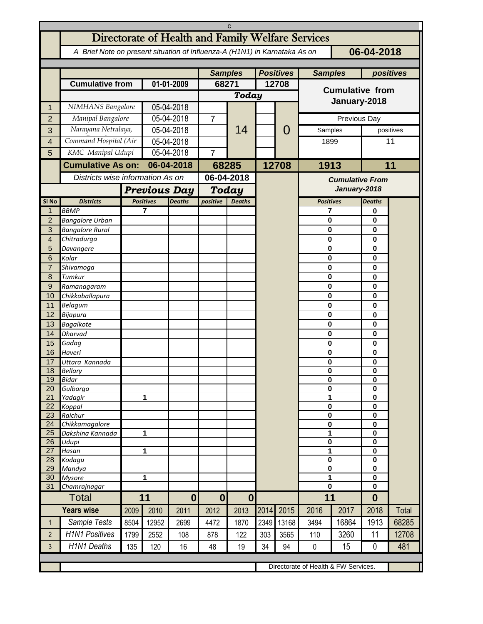|                   | C                                                                                        |                                  |                                   |            |                |                           |                  |       |                        |                                        |                              |           |  |
|-------------------|------------------------------------------------------------------------------------------|----------------------------------|-----------------------------------|------------|----------------|---------------------------|------------------|-------|------------------------|----------------------------------------|------------------------------|-----------|--|
|                   | Directorate of Health and Family Welfare Services                                        |                                  |                                   |            |                |                           |                  |       |                        |                                        |                              |           |  |
|                   | 06-04-2018<br>A Brief Note on present situation of Influenza-A (H1N1) in Karnataka As on |                                  |                                   |            |                |                           |                  |       |                        |                                        |                              |           |  |
|                   |                                                                                          |                                  |                                   |            |                |                           |                  |       |                        |                                        |                              |           |  |
|                   |                                                                                          |                                  |                                   |            | <b>Samples</b> |                           | <b>Positives</b> |       |                        | <b>Samples</b>                         |                              | positives |  |
|                   | <b>Cumulative from</b>                                                                   |                                  | 01-01-2009                        |            | 68271          |                           | 12708            |       | <b>Cumulative from</b> |                                        |                              |           |  |
|                   |                                                                                          |                                  |                                   |            | <b>Today</b>   |                           |                  |       |                        |                                        |                              |           |  |
| 1                 | NIMHANS Bangalore                                                                        |                                  | 05-04-2018                        |            |                |                           |                  |       | January-2018           |                                        |                              |           |  |
| $\overline{2}$    | Manipal Bangalore                                                                        |                                  | 05-04-2018                        |            | $\overline{7}$ |                           |                  | O     | Previous Day           |                                        |                              |           |  |
| 3                 | Narayana Netralaya,                                                                      |                                  | 05-04-2018                        |            |                | 14                        |                  |       |                        | Samples                                |                              | positives |  |
| $\overline{4}$    | Command Hospital (Air                                                                    |                                  | 05-04-2018                        |            |                |                           |                  |       | 1899                   |                                        | 11                           |           |  |
| 5                 | KMC Manipal Udupi                                                                        |                                  | 05-04-2018                        |            | $\overline{7}$ |                           |                  |       |                        |                                        |                              |           |  |
|                   | <b>Cumulative As on:</b>                                                                 |                                  | 06-04-2018                        |            | 68285          |                           |                  | 12708 | 1913                   |                                        |                              | 11        |  |
|                   |                                                                                          | Districts wise information As on |                                   | 06-04-2018 |                |                           |                  |       |                        |                                        |                              |           |  |
|                   |                                                                                          | <b>Previous Day</b>              |                                   |            | Today          |                           |                  |       |                        | <b>Cumulative From</b><br>January-2018 |                              |           |  |
| SI <sub>No</sub>  | <b>Districts</b>                                                                         |                                  | <b>Positives</b><br><b>Deaths</b> |            |                | positive<br><b>Deaths</b> |                  |       | <b>Positives</b>       |                                        | <b>Deaths</b>                |           |  |
| $\mathbf{1}$      | <b>BBMP</b>                                                                              |                                  | 7                                 |            |                |                           |                  |       | 7                      |                                        | 0                            |           |  |
| $\overline{2}$    | <b>Bangalore Urban</b>                                                                   |                                  |                                   |            |                |                           |                  |       | $\bf{0}$               |                                        | 0                            |           |  |
| 3                 | <b>Bangalore Rural</b>                                                                   |                                  |                                   |            |                |                           |                  |       | 0                      |                                        | $\mathbf{0}$                 |           |  |
| $\overline{4}$    | Chitradurga                                                                              |                                  |                                   |            |                |                           |                  |       | $\bf{0}$               |                                        | $\mathbf{0}$                 |           |  |
| 5                 | Davangere                                                                                |                                  |                                   |            |                |                           |                  |       | $\bf{0}$               |                                        | $\mathbf{0}$                 |           |  |
| 6                 | Kolar                                                                                    |                                  |                                   |            |                |                           |                  |       | $\bf{0}$               |                                        | $\mathbf{0}$                 |           |  |
| $\overline{7}$    | Shivamoga                                                                                |                                  |                                   |            |                |                           |                  |       | $\bf{0}$               |                                        | $\mathbf{0}$                 |           |  |
| 8                 | Tumkur                                                                                   |                                  |                                   |            |                |                           |                  |       | $\bf{0}$<br>$\bf{0}$   |                                        | $\mathbf{0}$<br>$\mathbf{0}$ |           |  |
| $\mathsf 9$<br>10 | Ramanagaram<br>Chikkaballapura                                                           |                                  |                                   |            |                |                           |                  |       | $\bf{0}$               |                                        | $\mathbf{0}$                 |           |  |
| 11                | Belagum                                                                                  |                                  |                                   |            |                |                           |                  |       | 0                      |                                        | $\mathbf{0}$                 |           |  |
| 12                | Bijapura                                                                                 |                                  |                                   |            |                |                           |                  |       | $\bf{0}$               |                                        | $\mathbf{0}$                 |           |  |
| 13                | <b>Bagalkote</b>                                                                         |                                  |                                   |            |                |                           |                  |       | $\bf{0}$               |                                        | $\mathbf{0}$                 |           |  |
| 14                | <b>Dharvad</b>                                                                           |                                  |                                   |            |                |                           |                  |       | $\bf{0}$               |                                        | $\mathbf{0}$                 |           |  |
| 15                | Gadag                                                                                    |                                  |                                   |            |                |                           |                  |       | 0                      |                                        | $\mathbf{0}$                 |           |  |
| 16                | Haveri                                                                                   |                                  |                                   |            |                |                           |                  |       | $\mathbf 0$            |                                        | $\mathbf 0$                  |           |  |
| 17                | Uttara Kannada                                                                           |                                  |                                   |            |                |                           |                  |       | 0                      |                                        | $\mathbf 0$                  |           |  |
| 18<br>19          | <b>Bellary</b><br>Bidar                                                                  |                                  |                                   |            |                |                           |                  |       | 0<br>$\bf{0}$          |                                        | $\bf{0}$<br>$\pmb{0}$        |           |  |
| 20                | Gulbarga                                                                                 |                                  |                                   |            |                |                           |                  |       | 0                      |                                        | 0                            |           |  |
| 21                | Yadagir                                                                                  |                                  |                                   |            |                |                           |                  |       | 1                      |                                        | $\mathbf 0$                  |           |  |
| 22                | Koppal                                                                                   |                                  |                                   |            |                |                           |                  |       | 0                      |                                        | 0                            |           |  |
| 23                | Raichur                                                                                  |                                  |                                   |            |                |                           |                  |       | 0                      |                                        | 0                            |           |  |
| 24<br>25          | Chikkamagalore<br>Dakshina Kannada                                                       |                                  |                                   |            |                |                           |                  |       | 0                      |                                        | $\mathbf 0$                  |           |  |
| 26                | Udupi                                                                                    |                                  | 1                                 |            |                |                           |                  |       | 1<br>0                 |                                        | 0<br>0                       |           |  |
| 27                | Hasan                                                                                    |                                  | 1                                 |            |                |                           |                  |       | 1                      |                                        | $\mathbf 0$                  |           |  |
| 28                | Kodagu                                                                                   |                                  |                                   |            |                |                           |                  |       | 0                      |                                        | $\mathbf 0$                  |           |  |
| 29                | Mandya                                                                                   |                                  |                                   |            |                |                           |                  |       | $\pmb{0}$              |                                        | 0                            |           |  |
| 30                | <b>Mysore</b>                                                                            | 1                                |                                   |            |                |                           |                  |       | 1                      |                                        | 0                            |           |  |
| 31                | Chamrajnagar                                                                             |                                  | 11                                |            |                |                           |                  |       | $\bf{0}$<br>11         |                                        | $\mathbf{0}$                 |           |  |
|                   | Total                                                                                    |                                  |                                   | $\bf{0}$   | $\bf{0}$       | $\bf{0}$                  |                  |       |                        |                                        | $\bf{0}$                     |           |  |
|                   | <b>Years wise</b>                                                                        | 2009                             | 2010                              | 2011       | 2012           | 2013                      | 2014             | 2015  | 2016                   | 2017                                   | 2018                         | Total     |  |
| $\mathbf{1}$      | Sample Tests                                                                             | 8504                             | 12952                             | 2699       | 4472           | 1870                      | 2349             | 13168 | 3494                   | 16864                                  | 1913                         | 68285     |  |
| $\overline{2}$    | <b>H1N1 Positives</b>                                                                    | 1799                             | 2552                              | 108        | 878            | 122                       | 303              | 3565  | 110                    | 3260                                   | 11                           | 12708     |  |
| 3                 | <b>H1N1 Deaths</b>                                                                       | 135                              | 120                               | 16         | 48             | 19                        | 34               | 94    | $\pmb{0}$              | 15                                     | 0                            | 481       |  |
|                   |                                                                                          |                                  |                                   |            |                |                           |                  |       |                        |                                        |                              |           |  |
|                   |                                                                                          |                                  |                                   |            |                |                           |                  |       |                        | Directorate of Health & FW Services.   |                              |           |  |